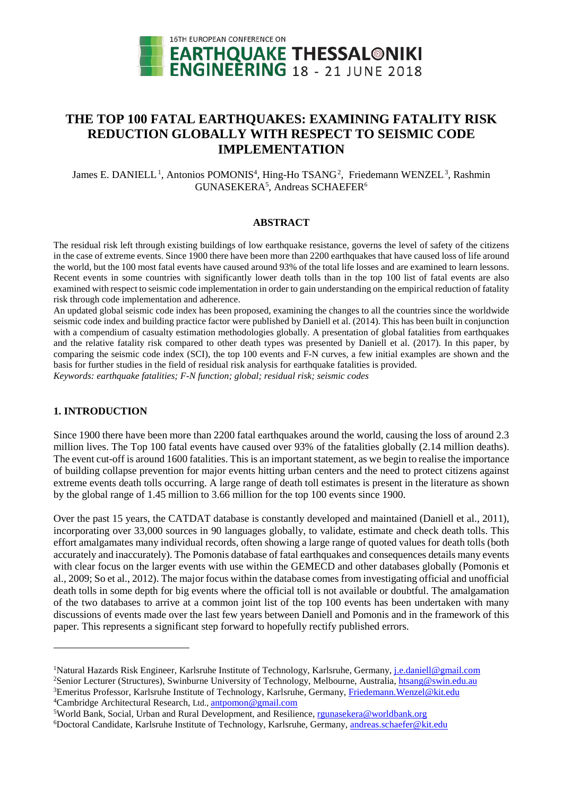

# **THE TOP 100 FATAL EARTHQUAKES: EXAMINING FATALITY RISK REDUCTION GLOBALLY WITH RESPECT TO SEISMIC CODE IMPLEMENTATION**

James E. DANIELL<sup>1</sup>, Antonios POMONIS<sup>4</sup>, Hing-Ho TSANG<sup>2</sup>, Friedemann WENZEL<sup>3</sup>, Rashmin GUNASEKERA<sup>5</sup>, Andreas SCHAEFER<sup>6</sup>

#### **ABSTRACT**

The residual risk left through existing buildings of low earthquake resistance, governs the level of safety of the citizens in the case of extreme events. Since 1900 there have been more than 2200 earthquakes that have caused loss of life around the world, but the 100 most fatal events have caused around 93% of the total life losses and are examined to learn lessons. Recent events in some countries with significantly lower death tolls than in the top 100 list of fatal events are also examined with respect to seismic code implementation in order to gain understanding on the empirical reduction of fatality risk through code implementation and adherence.

An updated global seismic code index has been proposed, examining the changes to all the countries since the worldwide seismic code index and building practice factor were published by Daniell et al. (2014). This has been built in conjunction with a compendium of casualty estimation methodologies globally. A presentation of global fatalities from earthquakes and the relative fatality risk compared to other death types was presented by Daniell et al. (2017). In this paper, by comparing the seismic code index (SCI), the top 100 events and F-N curves, a few initial examples are shown and the basis for further studies in the field of residual risk analysis for earthquake fatalities is provided. *Keywords: earthquake fatalities; F-N function; global; residual risk; seismic codes*

## **1. INTRODUCTION**

<u>.</u>

Since 1900 there have been more than 2200 fatal earthquakes around the world, causing the loss of around 2.3 million lives. The Top 100 fatal events have caused over 93% of the fatalities globally (2.14 million deaths). The event cut-off is around 1600 fatalities. This is an important statement, as we begin to realise the importance of building collapse prevention for major events hitting urban centers and the need to protect citizens against extreme events death tolls occurring. A large range of death toll estimates is present in the literature as shown by the global range of 1.45 million to 3.66 million for the top 100 events since 1900.

Over the past 15 years, the CATDAT database is constantly developed and maintained (Daniell et al., 2011), incorporating over 33,000 sources in 90 languages globally, to validate, estimate and check death tolls. This effort amalgamates many individual records, often showing a large range of quoted values for death tolls (both accurately and inaccurately). The Pomonis database of fatal earthquakes and consequences details many events with clear focus on the larger events with use within the GEMECD and other databases globally (Pomonis et al., 2009; So et al., 2012). The major focus within the database comes from investigating official and unofficial death tolls in some depth for big events where the official toll is not available or doubtful. The amalgamation of the two databases to arrive at a common joint list of the top 100 events has been undertaken with many discussions of events made over the last few years between Daniell and Pomonis and in the framework of this paper. This represents a significant step forward to hopefully rectify published errors.

<sup>&</sup>lt;sup>1</sup>Natural Hazards Risk Engineer, Karlsruhe Institute of Technology, Karlsruhe, Germany, *j.e.daniell@gmail.com* <sup>2</sup>Senior Lecturer (Structures), Swinburne University of Technology, Melbourne, Australia, *htsang@swin.edu.au* 

<sup>&</sup>lt;sup>3</sup>Emeritus Professor, Karlsruhe Institute of Technology, Karlsruhe, Germany, Friedemann. Wenzel@kit.edu <sup>4</sup>Cambridge Architectural Research, Ltd., antpomon@gmail.com

<sup>&</sup>lt;sup>5</sup>World Bank, Social, Urban and Rural Development, and Resilience, r**gunasekera@worldbank.org** 

<sup>&</sup>lt;sup>6</sup>Doctoral Candidate, Karlsruhe Institute of Technology, Karlsruhe, Germany, andreas.schaefer@kit.edu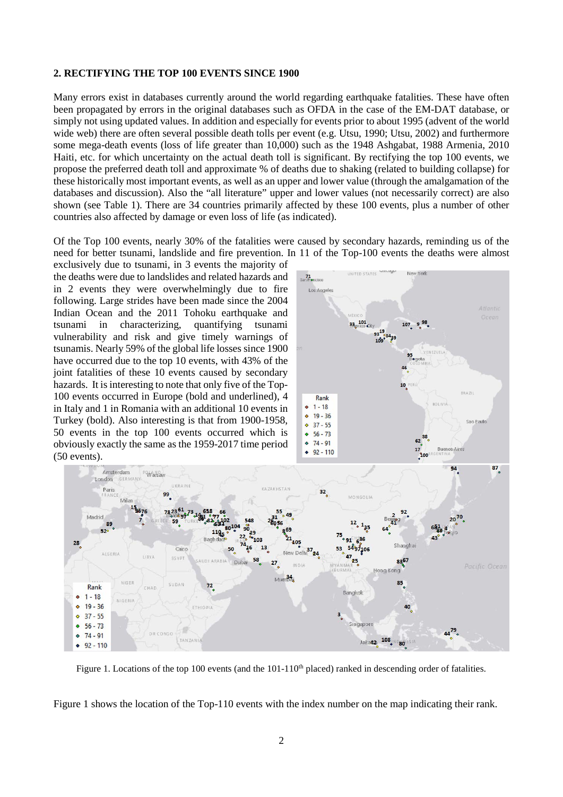## **2. RECTIFYING THE TOP 100 EVENTS SINCE 1900**

Many errors exist in databases currently around the world regarding earthquake fatalities. These have often been propagated by errors in the original databases such as OFDA in the case of the EM-DAT database, or simply not using updated values. In addition and especially for events prior to about 1995 (advent of the world wide web) there are often several possible death tolls per event (e.g. Utsu, 1990; Utsu, 2002) and furthermore some mega-death events (loss of life greater than 10,000) such as the 1948 Ashgabat, 1988 Armenia, 2010 Haiti, etc. for which uncertainty on the actual death toll is significant. By rectifying the top 100 events, we propose the preferred death toll and approximate % of deaths due to shaking (related to building collapse) for these historically most important events, as well as an upper and lower value (through the amalgamation of the databases and discussion). Also the "all literature" upper and lower values (not necessarily correct) are also shown (see Table 1). There are 34 countries primarily affected by these 100 events, plus a number of other countries also affected by damage or even loss of life (as indicated).

Of the Top 100 events, nearly 30% of the fatalities were caused by secondary hazards, reminding us of the need for better tsunami, landslide and fire prevention. In 11 of the Top-100 events the deaths were almost

exclusively due to tsunami, in 3 events the majority of the deaths were due to landslides and related hazards and in 2 events they were overwhelmingly due to fire following. Large strides have been made since the 2004 Indian Ocean and the 2011 Tohoku earthquake and tsunami in characterizing, quantifying tsunami vulnerability and risk and give timely warnings of tsunamis. Nearly 59% of the global life losses since 1900 have occurred due to the top 10 events, with 43% of the joint fatalities of these 10 events caused by secondary hazards. It is interesting to note that only five of the Top-100 events occurred in Europe (bold and underlined), 4 in Italy and 1 in Romania with an additional 10 events in Turkey (bold). Also interesting is that from 1900-1958, 50 events in the top 100 events occurred which is obviously exactly the same as the 1959-2017 time period (50 events).

28

 $\ddot{\bullet}$ 

 $\ddot{\circ}$ 

 $\ddot{\circ}$  $\ddot{\bullet}$ 

 $\ddot{\phantom{0}}$ 



Figure 1. Locations of the top 100 events (and the  $101-110<sup>th</sup>$  placed) ranked in descending order of fatalities.

Figure 1 shows the location of the Top-110 events with the index number on the map indicating their rank.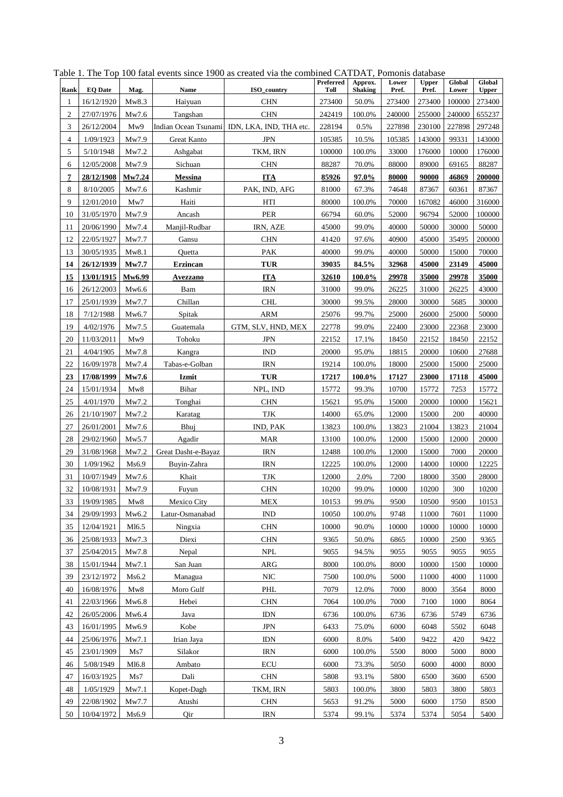|                 |                          |                   |                     | 100 num cyclifo since 1900 as created with the com-        | Preferred        | Approx.         | Lower            | <b>Upper</b>     | Global          | Global           |
|-----------------|--------------------------|-------------------|---------------------|------------------------------------------------------------|------------------|-----------------|------------------|------------------|-----------------|------------------|
| Rank            | <b>EQ Date</b>           | Mag.              | Name                | ISO country                                                | Toll             | <b>Shaking</b>  | Pref.            | Pref.            | Lower           | <b>Upper</b>     |
| 1               | 16/12/1920               | Mw8.3             | Haiyuan             | <b>CHN</b>                                                 | 273400           | 50.0%           | 273400           | 273400           | 100000          | 273400           |
| $\sqrt{2}$<br>3 | 27/07/1976               | Mw7.6<br>Mw9      | Tangshan            | <b>CHN</b>                                                 | 242419           | 100.0%<br>0.5%  | 240000           | 255000           | 240000          | 655237           |
| $\overline{4}$  | 26/12/2004<br>1/09/1923  | Mw7.9             | Great Kanto         | Indian Ocean Tsunami IDN, LKA, IND, THA etc.<br><b>JPN</b> | 228194<br>105385 | 10.5%           | 227898<br>105385 | 230100<br>143000 | 227898<br>99331 | 297248<br>143000 |
| 5               | 5/10/1948                | Mw7.2             | Ashgabat            | TKM, IRN                                                   | 100000           | 100.0%          | 33000            | 176000           | 10000           | 176000           |
| 6               | 12/05/2008               | Mw7.9             | Sichuan             | <b>CHN</b>                                                 | 88287            | 70.0%           | 88000            | 89000            | 69165           | 88287            |
| 7               | 28/12/1908               | Mw7.24            | <b>Messina</b>      | <b>ITA</b>                                                 | 85926            | 97.0%           | 80000            | 90000            | 46869           | 200000           |
| 8               | 8/10/2005                | Mw7.6             | Kashmir             | PAK, IND, AFG                                              | 81000            | 67.3%           | 74648            | 87367            | 60361           | 87367            |
| 9               | 12/01/2010               | Mw7               | Haiti               | HTI                                                        | 80000            | 100.0%          | 70000            | 167082           | 46000           | 316000           |
| 10              | 31/05/1970               | Mw7.9             | Ancash              | <b>PER</b>                                                 | 66794            | 60.0%           | 52000            | 96794            | 52000           | 100000           |
| 11              | 20/06/1990               | Mw7.4             | Manjil-Rudbar       | IRN, AZE                                                   | 45000            | 99.0%           | 40000            | 50000            | 30000           | 50000            |
| 12              | 22/05/1927               | Mw7.7             | Gansu               | <b>CHN</b>                                                 | 41420            | 97.6%           | 40900            | 45000            | 35495           | 200000           |
| 13              | 30/05/1935               | Mw8.1             | Quetta              | PAK                                                        | 40000            | 99.0%           | 40000            | 50000            | 15000           | 70000            |
| 14              | 26/12/1939               | Mw7.7             | <b>Erzincan</b>     | <b>TUR</b>                                                 | 39035            | 84.5%           | 32968            | 45000            | 23149           | 45000            |
| 15              | 13/01/1915               | Mw6.99            | <b>Avezzano</b>     | <b>ITA</b>                                                 | 32610            | 100.0%          | 29978            | 35000            | 29978           | 35000            |
| 16              | 26/12/2003               | Mw6.6             | Bam                 | <b>IRN</b>                                                 | 31000            | 99.0%           | 26225            | 31000            | 26225           | 43000            |
| 17              | 25/01/1939               | Mw7.7             | Chillan             | <b>CHL</b>                                                 | 30000            | 99.5%           | 28000            | 30000            | 5685            | 30000            |
| 18              | 7/12/1988                | Mw6.7             | Spitak              | <b>ARM</b>                                                 | 25076            | 99.7%           | 25000            | 26000            | 25000           | 50000            |
| 19              | 4/02/1976                | Mw7.5             | Guatemala           | GTM, SLV, HND, MEX                                         | 22778            | 99.0%           | 22400            | 23000            | 22368           | 23000            |
| 20              | 11/03/2011               | Mw9               | Tohoku              | <b>JPN</b>                                                 | 22152            | 17.1%           | 18450            | 22152            | 18450           | 22152            |
| 21              | 4/04/1905                | Mw7.8             | Kangra              | <b>IND</b>                                                 | 20000            | 95.0%           | 18815            | 20000            | 10600           | 27688            |
| 22              | 16/09/1978               | Mw7.4             | Tabas-e-Golban      | <b>IRN</b>                                                 | 19214            | 100.0%          | 18000            | 25000            | 15000           | 25000            |
| 23              | 17/08/1999               | Mw7.6             | Izmit               | <b>TUR</b>                                                 | 17217            | 100.0%          | 17127            | 23000            | 17118           | 45000            |
| 24              | 15/01/1934               | Mw8               | Bihar               | NPL, IND                                                   | 15772            | 99.3%           | 10700            | 15772            | 7253            | 15772            |
| 25              | 4/01/1970                | Mw7.2             | Tonghai             | CHN                                                        | 15621            | 95.0%           | 15000            | 20000            | 10000           | 15621            |
| 26              | 21/10/1907               | Mw7.2             | Karatag             | <b>TJK</b>                                                 | 14000            | 65.0%           | 12000            | 15000            | 200             | 40000            |
| 27              | 26/01/2001               | Mw7.6             | Bhuj                | IND, PAK                                                   | 13823            | 100.0%          | 13823            | 21004            | 13823           | 21004            |
| 28              | 29/02/1960               | Mw5.7             | Agadir              | <b>MAR</b>                                                 | 13100            | 100.0%          | 12000            | 15000            | 12000           | 20000            |
| 29              | 31/08/1968               | Mw7.2             | Great Dasht-e-Bayaz | <b>IRN</b>                                                 | 12488            | 100.0%          | 12000            | 15000            | 7000            | 20000            |
| 30              | 1/09/1962                | Ms6.9             | Buyin-Zahra         | <b>IRN</b>                                                 | 12225            | 100.0%          | 12000            | 14000            | 10000           | 12225            |
| 31              | 10/07/1949               | Mw7.6             | Khait               | <b>TJK</b>                                                 | 12000            | 2.0%            | 7200             | 18000            | 3500            | 28000            |
| 32              | 10/08/1931               | Mw7.9             | Fuyun               | <b>CHN</b>                                                 | 10200            | 99.0%           | 10000            | 10200            | 300             | 10200            |
| 33              | 19/09/1985               | Mw8               | Mexico City         | MEX                                                        | 10153            | 99.0%           | 9500             | 10500            | 9500            | 10153            |
| 34              | 29/09/1993               | Mw6.2             | Latur-Osmanabad     | <b>IND</b>                                                 | 10050            | 100.0%          | 9748             | 11000            | 7601            | 11000            |
| 35              | 12/04/1921               | M16.5             | Ningxia             | <b>CHN</b>                                                 | 10000            | 90.0%           | 10000            | 10000            | 10000           | 10000            |
| 36              | 25/08/1933               | Mw7.3             | Diexi               | <b>CHN</b>                                                 | 9365             | 50.0%           | 6865             | 10000            | 2500            | 9365             |
| 37<br>38        | 25/04/2015<br>15/01/1944 | Mw7.8<br>Mw7.1    | Nepal<br>San Juan   | <b>NPL</b><br>ARG                                          | 9055<br>8000     | 94.5%<br>100.0% | 9055<br>8000     | 9055<br>10000    | 9055<br>1500    | 9055<br>10000    |
| 39              | 23/12/1972               | Ms6.2             | Managua             | <b>NIC</b>                                                 | 7500             | 100.0%          | 5000             | 11000            | 4000            | 11000            |
| 40              | 16/08/1976               | Mw8               | Moro Gulf           | PHL                                                        | 7079             | 12.0%           | 7000             | 8000             | 3564            | 8000             |
| 41              | 22/03/1966               | Mw6.8             | Hebei               | <b>CHN</b>                                                 | 7064             | 100.0%          | 7000             | 7100             | 1000            | 8064             |
| 42              | 26/05/2006               | Mw6.4             | Java                | <b>IDN</b>                                                 | 6736             | 100.0%          | 6736             | 6736             | 5749            | 6736             |
| 43              | 16/01/1995               | Mw6.9             | Kobe                | <b>JPN</b>                                                 | 6433             | 75.0%           | 6000             | 6048             | 5502            | 6048             |
| 44              | 25/06/1976               | Mw7.1             | Irian Jaya          | <b>IDN</b>                                                 | 6000             | 8.0%            | 5400             | 9422             | 420             | 9422             |
| 45              | 23/01/1909               | Ms7               | Silakor             | <b>IRN</b>                                                 | 6000             | 100.0%          | 5500             | 8000             | 5000            | 8000             |
| 46              | 5/08/1949                | M <sub>16.8</sub> | Ambato              | <b>ECU</b>                                                 | 6000             | 73.3%           | 5050             | 6000             | 4000            | 8000             |
| 47              | 16/03/1925               | Ms7               | Dali                | <b>CHN</b>                                                 | 5808             | 93.1%           | 5800             | 6500             | 3600            | 6500             |
| 48              | 1/05/1929                | Mw7.1             | Kopet-Dagh          | TKM, IRN                                                   | 5803             | 100.0%          | 3800             | 5803             | 3800            | 5803             |
| 49              | 22/08/1902               | Mw7.7             | Atushi              | <b>CHN</b>                                                 | 5653             | 91.2%           | 5000             | 6000             | 1750            | 8500             |
| 50              | 10/04/1972               | Ms6.9             | Qir                 | <b>IRN</b>                                                 | 5374             | 99.1%           | 5374             | 5374             | 5054            | 5400             |

Table 1. The Top 100 fatal events since 1900 as created via the combined CATDAT, Pomonis database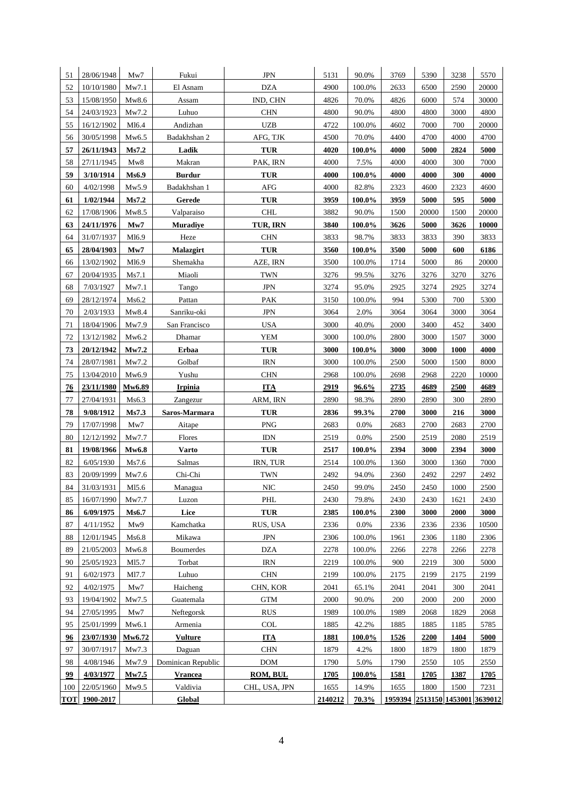| 51         | 28/06/1948               | Mw7               | Fukui                      | <b>JPN</b>               | 5131         | 90.0%            | 3769                            | 5390         | 3238        | 5570         |
|------------|--------------------------|-------------------|----------------------------|--------------------------|--------------|------------------|---------------------------------|--------------|-------------|--------------|
| 52         | 10/10/1980               | Mw7.1             | El Asnam                   | <b>DZA</b>               | 4900         | $100.0\%$        | 2633                            | 6500         | 2590        | 20000        |
| 53         | 15/08/1950               | Mw8.6             | Assam                      | IND, CHN                 | 4826         | 70.0%            | 4826                            | 6000         | 574         | 30000        |
| 54         | 24/03/1923               | Mw7.2             | Luhuo                      | <b>CHN</b>               | 4800         | 90.0%            | 4800                            | 4800         | 3000        | 4800         |
| 55         | 16/12/1902               | M16.4             | Andizhan                   | <b>UZB</b>               | 4722         | 100.0%           | 4602                            | 7000         | 700         | 20000        |
| 56         | 30/05/1998               | Mw6.5             | Badakhshan 2               | AFG, TJK                 | 4500         | 70.0%            | 4400                            | 4700         | 4000        | 4700         |
| 57         | 26/11/1943               | Ms7.2             | Ladik                      | <b>TUR</b>               | 4020         | 100.0%           | 4000                            | 5000         | 2824        | 5000         |
| 58         | 27/11/1945               | Mw8               | Makran                     | PAK, IRN                 | 4000         | 7.5%             | 4000                            | 4000         | 300         | 7000         |
| 59         | 3/10/1914                | Ms6.9             | <b>Burdur</b>              | <b>TUR</b>               | 4000         | 100.0%           | 4000                            | 4000         | 300         | 4000         |
| 60         | 4/02/1998                | Mw5.9             | Badakhshan 1               | <b>AFG</b>               | 4000         | 82.8%            | 2323                            | 4600         | 2323        | 4600         |
| 61         | 1/02/1944                | Ms7.2             | Gerede                     | <b>TUR</b>               | 3959         | 100.0%           | 3959                            | 5000         | 595         | 5000         |
| 62         | 17/08/1906               | Mw8.5             | Valparaiso                 | <b>CHL</b>               | 3882         | 90.0%            | 1500                            | 20000        | 1500        | 20000        |
| 63         | 24/11/1976               | Mw7               | <b>Muradiye</b>            | TUR, IRN                 | 3840         | 100.0%           | 3626                            | 5000         | 3626        | 10000        |
| 64         | 31/07/1937               | M16.9             | Heze                       | <b>CHN</b>               | 3833         | 98.7%            | 3833                            | 3833         | 390         | 3833         |
| 65         | 28/04/1903               | Mw7               | Malazgirt                  | <b>TUR</b>               | 3560         | 100.0%           | 3500                            | 5000         | 600         | 6186         |
| 66         | 13/02/1902               | M <sub>16.9</sub> | Shemakha                   | AZE, IRN                 | 3500         | 100.0%           | 1714                            | 5000         | 86          | 20000        |
| 67         | 20/04/1935               | Ms7.1             | Miaoli                     | <b>TWN</b>               | 3276         | 99.5%            | 3276                            | 3276         | 3270        | 3276         |
| 68         | 7/03/1927                | Mw7.1             | Tango                      | <b>JPN</b>               | 3274         | 95.0%            | 2925                            | 3274         | 2925        | 3274         |
| 69         | 28/12/1974               | Ms6.2             | Pattan                     | PAK                      | 3150         | 100.0%           | 994                             | 5300         | 700         | 5300         |
| 70         | 2/03/1933                | Mw8.4             | Sanriku-oki                | <b>JPN</b>               | 3064         | 2.0%             | 3064                            | 3064         | 3000        | 3064         |
| 71         | 18/04/1906               | Mw7.9             | San Francisco              | <b>USA</b>               | 3000         | 40.0%            | 2000                            | 3400         | 452         | 3400         |
| 72         | 13/12/1982               | Mw6.2             | Dhamar                     | <b>YEM</b>               | 3000         | 100.0%           | 2800                            | 3000         | 1507        | 3000         |
| 73         | 20/12/1942               | Mw7.2             | Erbaa                      | <b>TUR</b>               | 3000         | 100.0%           | 3000                            | 3000         | 1000        | 4000         |
| 74         | 28/07/1981               | Mw7.2             | Golbaf                     | <b>IRN</b>               | 3000         | 100.0%           | 2500                            | 5000         | 1500        | 8000         |
| 75         | 13/04/2010               | Mw6.9             | Yushu                      | <b>CHN</b>               | 2968         | 100.0%           | 2698                            | 2968         | 2220        | 10000        |
| 76         | 23/11/1980               | Mw6.89            | <b>Irpinia</b>             | <b>ITA</b>               | 2919         | 96.6%            | 2735                            | 4689         | 2500        | 4689         |
| 77         | 27/04/1931               | Ms6.3             | Zangezur                   | ARM, IRN                 | 2890         | 98.3%            | 2890                            | 2890         | 300         | 2890         |
| 78         | 9/08/1912                | Ms7.3             | Saros-Marmara              | <b>TUR</b>               | 2836         | 99.3%            | 2700                            | 3000         | 216         | 3000         |
| 79         | 17/07/1998               | Mw7               | Aitape                     | <b>PNG</b>               | 2683         | $0.0\%$          | 2683                            | 2700         | 2683        | 2700         |
| 80         | 12/12/1992               | Mw7.7             | Flores                     | <b>IDN</b>               | 2519         | $0.0\%$          | 2500                            | 2519         | 2080        | 2519         |
| 81         | 19/08/1966               | <b>Mw6.8</b>      | <b>Varto</b>               | <b>TUR</b>               | 2517         | 100.0%           | 2394                            | 3000         | 2394        | 3000         |
| 82         | 6/05/1930                | Ms7.6             | Salmas                     | IRN, TUR                 | 2514         | 100.0%           | 1360                            | 3000         | 1360        | 7000         |
| 83         | 20/09/1999               | Mw7.6             | Chi-Chi                    | <b>TWN</b>               | 2492         | 94.0%            | 2360                            | 2492         | 2297        | 2492         |
| 84         | 31/03/1931               | M15.6             | Managua                    | <b>NIC</b>               | 2450         | 99.0%            | 2450                            | 2450         | 1000        | 2500         |
| 85         | 16/07/1990               | Mw7.7             | Luzon                      | PHL                      | 2430         | 79.8%            | 2430                            | 2430         | 1621        | 2430         |
| 86         | 6/09/1975                | Ms6.7             | Lice                       | <b>TUR</b>               | 2385         | 100.0%           | 2300                            | 3000         | 2000        | 3000         |
| 87         | 4/11/1952                | Mw9               | Kamchatka                  | RUS, USA                 | 2336         | $0.0\%$          | 2336                            | 2336         | 2336        | 10500        |
| 88<br>89   | 12/01/1945               | Ms6.8<br>Mw6.8    | Mikawa<br><b>Boumerdes</b> | <b>JPN</b><br><b>DZA</b> | 2306<br>2278 | 100.0%<br>100.0% | 1961<br>2266                    | 2306<br>2278 | 1180        | 2306         |
| 90         | 21/05/2003<br>25/05/1923 | M15.7             | Torbat                     | <b>IRN</b>               | 2219         | 100.0%           | 900                             | 2219         | 2266<br>300 | 2278<br>5000 |
| 91         | 6/02/1973                | M17.7             | Luhuo                      | $\rm CHN$                | 2199         | 100.0%           | 2175                            | 2199         | 2175        | 2199         |
| 92         | 4/02/1975                | Mw7               | Haicheng                   | CHN, KOR                 | 2041         | 65.1%            | 2041                            | 2041         | 300         | 2041         |
| 93         | 19/04/1902               | Mw7.5             | Guatemala                  | <b>GTM</b>               | 2000         | 90.0%            | 200                             | 2000         | 200         | 2000         |
| 94         | 27/05/1995               | Mw7               | Neftegorsk                 | <b>RUS</b>               | 1989         | 100.0%           | 1989                            | 2068         | 1829        | 2068         |
| 95         | 25/01/1999               | Mw6.1             | Armenia                    | COL                      | 1885         | 42.2%            | 1885                            | 1885         | 1185        | 5785         |
| 96         | 23/07/1930               | Mw6.72            | <b>Vulture</b>             | <b>ITA</b>               | <b>1881</b>  | $100.0\%$        | 1526                            | 2200         | 1404        | 5000         |
| 97         | 30/07/1917               | Mw7.3             | Daguan                     | $\rm CHN$                | 1879         | 4.2%             | 1800                            | 1879         | 1800        | 1879         |
| 98         | 4/08/1946                | Mw7.9             | Dominican Republic         | <b>DOM</b>               | 1790         | 5.0%             | 1790                            | 2550         | 105         | 2550         |
| 99         | 4/03/1977                | Mw7.5             | <b>Vrancea</b>             | ROM, BUL                 | 1705         | 100.0%           | 1581                            | 1705         | 1387        | 1705         |
| 100        | 22/05/1960               | Mw9.5             | Valdivia                   | CHL, USA, JPN            | 1655         | 14.9%            | 1655                            | 1800         | 1500        | 7231         |
| <b>TOT</b> | 1900-2017                |                   | Global                     |                          | 2140212      | 70.3%            | 1959394 2513150 1453001 3639012 |              |             |              |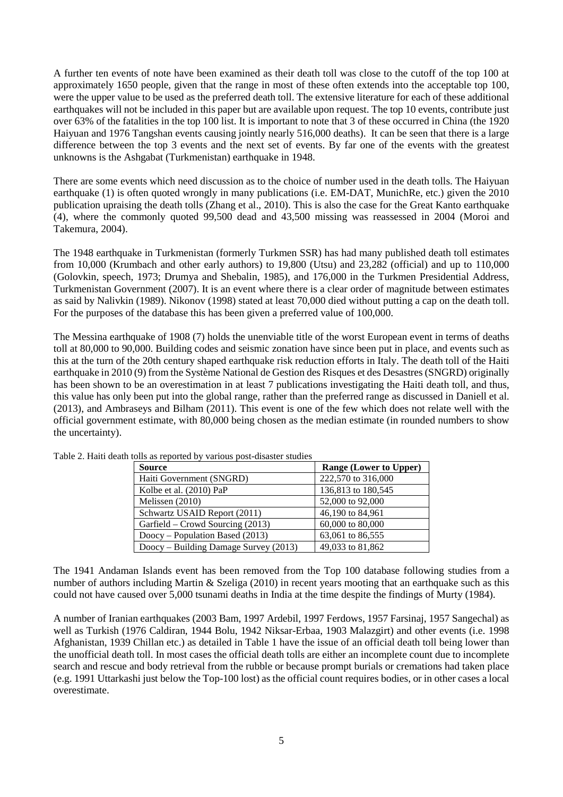A further ten events of note have been examined as their death toll was close to the cutoff of the top 100 at approximately 1650 people, given that the range in most of these often extends into the acceptable top 100, were the upper value to be used as the preferred death toll. The extensive literature for each of these additional earthquakes will not be included in this paper but are available upon request. The top 10 events, contribute just over 63% of the fatalities in the top 100 list. It is important to note that 3 of these occurred in China (the 1920 Haiyuan and 1976 Tangshan events causing jointly nearly 516,000 deaths). It can be seen that there is a large difference between the top 3 events and the next set of events. By far one of the events with the greatest unknowns is the Ashgabat (Turkmenistan) earthquake in 1948.

There are some events which need discussion as to the choice of number used in the death tolls. The Haiyuan earthquake (1) is often quoted wrongly in many publications (i.e. EM-DAT, MunichRe, etc.) given the 2010 publication upraising the death tolls (Zhang et al., 2010). This is also the case for the Great Kanto earthquake (4), where the commonly quoted 99,500 dead and 43,500 missing was reassessed in 2004 (Moroi and Takemura, 2004).

The 1948 earthquake in Turkmenistan (formerly Turkmen SSR) has had many published death toll estimates from 10,000 (Krumbach and other early authors) to 19,800 (Utsu) and 23,282 (official) and up to 110,000 (Golovkin, speech, 1973; Drumya and Shebalin, 1985), and 176,000 in the Turkmen Presidential Address, Turkmenistan Government (2007). It is an event where there is a clear order of magnitude between estimates as said by Nalivkin (1989). Nikonov (1998) stated at least 70,000 died without putting a cap on the death toll. For the purposes of the database this has been given a preferred value of 100,000.

The Messina earthquake of 1908 (7) holds the unenviable title of the worst European event in terms of deaths toll at 80,000 to 90,000. Building codes and seismic zonation have since been put in place, and events such as this at the turn of the 20th century shaped earthquake risk reduction efforts in Italy. The death toll of the Haiti earthquake in 2010 (9) from the Système National de Gestion des Risques et des Desastres (SNGRD) originally has been shown to be an overestimation in at least 7 publications investigating the Haiti death toll, and thus, this value has only been put into the global range, rather than the preferred range as discussed in Daniell et al. (2013), and Ambraseys and Bilham (2011). This event is one of the few which does not relate well with the official government estimate, with 80,000 being chosen as the median estimate (in rounded numbers to show the uncertainty).

| <b>Source</b>                         | <b>Range (Lower to Upper)</b> |
|---------------------------------------|-------------------------------|
| Haiti Government (SNGRD)              | 222,570 to 316,000            |
| Kolbe et al. (2010) PaP               | 136,813 to 180,545            |
| Melissen (2010)                       | 52,000 to 92,000              |
| Schwartz USAID Report (2011)          | 46,190 to 84,961              |
| Garfield – Crowd Sourcing (2013)      | 60,000 to 80,000              |
| $Doocy$ – Population Based (2013)     | 63,061 to 86,555              |
| Doocy – Building Damage Survey (2013) | 49,033 to 81,862              |

Table 2. Haiti death tolls as reported by various post-disaster studies

The 1941 Andaman Islands event has been removed from the Top 100 database following studies from a number of authors including Martin & Szeliga (2010) in recent years mooting that an earthquake such as this could not have caused over 5,000 tsunami deaths in India at the time despite the findings of Murty (1984).

A number of Iranian earthquakes (2003 Bam, 1997 Ardebil, 1997 Ferdows, 1957 Farsinaj, 1957 Sangechal) as well as Turkish (1976 Caldiran, 1944 Bolu, 1942 Niksar-Erbaa, 1903 Malazgirt) and other events (i.e. 1998 Afghanistan, 1939 Chillan etc.) as detailed in Table 1 have the issue of an official death toll being lower than the unofficial death toll. In most cases the official death tolls are either an incomplete count due to incomplete search and rescue and body retrieval from the rubble or because prompt burials or cremations had taken place (e.g. 1991 Uttarkashi just below the Top-100 lost) as the official count requires bodies, or in other cases a local overestimate.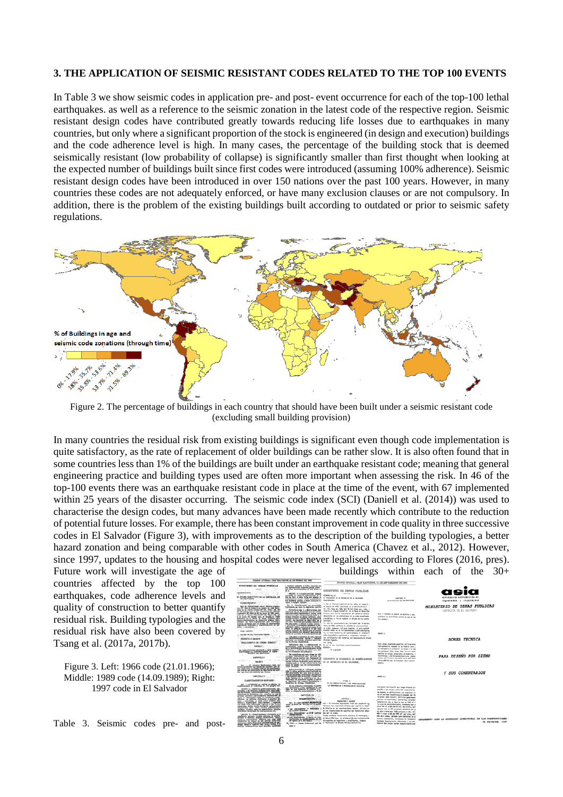#### **3. THE APPLICATION OF SEISMIC RESISTANT CODES RELATED TO THE TOP 100 EVENTS**

In Table 3 we show seismic codes in application pre- and post- event occurrence for each of the top-100 lethal earthquakes. as well as a reference to the seismic zonation in the latest code of the respective region. Seismic resistant design codes have contributed greatly towards reducing life losses due to earthquakes in many countries, but only where a significant proportion of the stock is engineered (in design and execution) buildings and the code adherence level is high. In many cases, the percentage of the building stock that is deemed seismically resistant (low probability of collapse) is significantly smaller than first thought when looking at the expected number of buildings built since first codes were introduced (assuming 100% adherence). Seismic resistant design codes have been introduced in over 150 nations over the past 100 years. However, in many countries these codes are not adequately enforced, or have many exclusion clauses or are not compulsory. In addition, there is the problem of the existing buildings built according to outdated or prior to seismic safety regulations.



Figure 2. The percentage of buildings in each country that should have been built under a seismic resistant code (excluding small building provision)

In many countries the residual risk from existing buildings is significant even though code implementation is quite satisfactory, as the rate of replacement of older buildings can be rather slow. It is also often found that in some countries less than 1% of the buildings are built under an earthquake resistant code; meaning that general engineering practice and building types used are often more important when assessing the risk. In 46 of the top-100 events there was an earthquake resistant code in place at the time of the event, with 67 implemented within 25 years of the disaster occurring. The seismic code index (SCI) (Daniell et al. (2014)) was used to characterise the design codes, but many advances have been made recently which contribute to the reduction of potential future losses. For example, there has been constant improvement in code quality in three successive codes in El Salvador (Figure 3), with improvements as to the description of the building typologies, a better hazard zonation and being comparable with other codes in South America (Chavez et al., 2012). However, since 1997, updates to the housing and hospital codes were never legalised according to Flores (2016, pres).

Future work will investigate the age of buildings within each of the 30+ countries affected by the top 100 earthquakes, code adherence levels and quality of construction to better quantify residual risk. Building typologies and the residual risk have also been covered by Tsang et al. (2017a, 2017b).

Figure 3. Left: 1966 code (21.01.1966); Middle: 1989 code (14.09.1989); Right: 1997 code in El Salvador

Table 3. Seismic codes pre- and post-

|                                                                                                                                                                                                                                       |                                                                                                                                                                                                                               | DIARIO OFICIAL-AN &ALVADOR, IA SE SEPTIMONES OE 1988                                                                                                                         |                                                                                               |                                                              |
|---------------------------------------------------------------------------------------------------------------------------------------------------------------------------------------------------------------------------------------|-------------------------------------------------------------------------------------------------------------------------------------------------------------------------------------------------------------------------------|------------------------------------------------------------------------------------------------------------------------------------------------------------------------------|-----------------------------------------------------------------------------------------------|--------------------------------------------------------------|
| MINISTERIO DE GORAS PUBLICAS<br>contact and artist<br>$-$<br>only price to know                                                                                                                                                       | o equipos sveicinas, y lotius aquellas exp<br>plu mercanische moment punk jours :<br>$= 4$                                                                                                                                    | <b>WIRSTERIO DE OBRIA PUBLICIA</b>                                                                                                                                           |                                                                                               |                                                              |
| CONTROL SEPT. CRISIS<br><b>FIREWAY 1974</b><br>the company of the company                                                                                                                                                             | <b>GRAPS C-Constructions satisfie</b>                                                                                                                                                                                         |                                                                                                                                                                              |                                                                                               |                                                              |
| EL POOSE E/BOYTIVO DE LA BEPORLICA DE<br><b>ST. SACTATION</b><br>all subscription advised and<br><b>CONTRACTOR</b>                                                                                                                    | cionatio no sala la intervision de la<br>die primerte grabos, a setos bumbass do                                                                                                                                              | <b>STONERS Fre, Inc.</b><br>6. PESHIONI M LL MOUN.10A DE C. SA FLORE.<br><b><i>SALISBURY</i></b>                                                                             | CARITAG 15<br><b><i>CUSTOMER IN LIK EEFTCHE</i></b>                                           | asociación salvadoreña de<br>ingenieros y arquitectos        |
| <b>CONFIDENTIAL</b> AND INTERNATIONAL<br>and construction and the control                                                                                                                                                             | Fiscal in resignie visitizate.                                                                                                                                                                                                |                                                                                                                                                                              |                                                                                               |                                                              |
| <b>MAGNE</b>                                                                                                                                                                                                                          | Art. R.-Donaldwande Ins annutesiat<br>travisione as have la signicate clastics                                                                                                                                                | 1. One of four-sta-LagfateFine Ile., 1001, als fueles # =<br>de Jacobs de 1955, quintitade un al blanta détailes<br>To. 191, Sara Ito. 166, did 18 and allana such a play, a |                                                                                               | MINISTERIO DE OBRAS PUBLICAS<br>REPUBLICA DE EL GAINMONS     |
|                                                                                                                                                                                                                                       | Acrestors the 1 .- Secretary pix                                                                                                                                                                                              | This to all linguas Electricas as all Rosa de Guius Par-                                                                                                                     |                                                                                               |                                                              |
|                                                                                                                                                                                                                                       | riential y regna catarameteria, sola la so                                                                                                                                                                                    | billow, para cultric registerates we selle at future.<br>description of the productions do as side coordinate                                                                | Art. I firends as separts on dusting a way.                                                   |                                                              |
|                                                                                                                                                                                                                                       |                                                                                                                                                                                                                               | y architec, a fix de sujanar el dische da las salità                                                                                                                         | capiano in sizalitare delive de uno de los<br><b>Too arease</b>                               |                                                              |
| slocky machinessing the demancing screene mode-<br>rendors on size components was contempor                                                                                                                                           |                                                                                                                                                                                                                               | me luxus.                                                                                                                                                                    |                                                                                               |                                                              |
| incomes continues para at disales, is concluyedden.                                                                                                                                                                                   | die pie vigno, o tijiene o koko plazme i                                                                                                                                                                                      | 11. See your exposurance is deci thermoeder dat 16 de door                                                                                                                   |                                                                                               |                                                              |
| falls: y colourbatas                                                                                                                                                                                                                  | reformeds, statute each mareo super de re-                                                                                                                                                                                    | him de 1966 sefrisos la pinétite de grue continui                                                                                                                            |                                                                                               |                                                              |
| FOR TANKS IT IS AN INTERFERING                                                                                                                                                                                                        | todos no pleta al metos el 20 ale cientifica<br>Tanto de Galicio, de diverso que lo nomina<br>Tanto de persono de alternaciones del                                                                                           | de video hanance, acé quae hautille, si pela sub-til<br>grantes delta en la infrascimatura y per conclusion                                                                  |                                                                                               |                                                              |
|                                                                                                                                                                                                                                       |                                                                                                                                                                                                                               | The net facto exposurity, do conformidad a to information                                                                                                                    | More to                                                                                       |                                                              |
| worker a visito arter, there is the cost                                                                                                                                                                                              |                                                                                                                                                                                                                               | alde standigite registrate a presente, corneli --                                                                                                                            |                                                                                               |                                                              |
| DECRETA el signiente e della competizione                                                                                                                                                                                             | Los pieces y colónical de estas estados rias referirsecuentes ripidos y ventos estas estas estas estas estas estas estas estas estas estas estas estas estas estas estas estas estas estas estas estas estas estas estas esta | to articlecto de este la di batascie di blade                                                                                                                                |                                                                                               | NORMA TECNICA                                                |
| "DEGLANDED DE DORERO NUMBEC"                                                                                                                                                                                                          |                                                                                                                                                                                                                               | Mazies vigasto.<br><b>PH SAW</b>                                                                                                                                             |                                                                                               |                                                              |
|                                                                                                                                                                                                                                       | Intractors for 1.4-Britainian ex-                                                                                                                                                                                             | In we m me familiates constituzionates.                                                                                                                                      | Exhi grupo couprends aquel las adhituationes.                                                 |                                                              |
|                                                                                                                                                                                                                                       | nemetrons, and is section do campa-<br>as in direction car as annites ance drive-                                                                                                                                             | <b>BOOKS</b>                                                                                                                                                                 | Indicatementes después de un textoler nors a<br>In convenient a r preservor is solut a to see |                                                              |
| <b>SAN PERSONAL PROPERTY AND SERIES</b>                                                                                                                                                                                               | challenges a seriamas certanus o a rum<br>an his minimizing automobiles.                                                                                                                                                      | all significate.                                                                                                                                                             | las porsones, fixto grupo data incialir houst                                                 |                                                              |
|                                                                                                                                                                                                                                       |                                                                                                                                                                                                                               |                                                                                                                                                                              | control de salud, estacionis di bodores, a                                                    |                                                              |
| GERTRIA L'                                                                                                                                                                                                                            | - In contohing at the that its child<br>portains dispension per pareles on                                                                                                                                                    |                                                                                                                                                                              | Information a de Internacional com  subsex                                                    | PARA DISENO POR SISMO                                        |
| $-1.5$<br>and the country                                                                                                                                                                                                             | pic di mimire co cada piso el 95 por città<br>Intern esclanic da disello: selos siacros o                                                                                                                                     | ROOLANDING OF ENTINGERS LA BE EVERETTY SIMULATION                                                                                                                            | stores affitaves y material any adificant<br>risio philos ou su rustare sere squrar           |                                                              |
| OBJURN-                                                                                                                                                                                                                               | tionida para si 10 per riento da la fue                                                                                                                                                                                       | DE LA REFUBLIOU DE EU, SIA NIDER.                                                                                                                                            | some fre-                                                                                     |                                                              |
| $M_{\odot}$ , $M_{\odot}$ , $M_{\odot}$ , where it metallical middle and the result of the region pass of distribution of the state of the state of the state in the state of the state of the state in the state in the state in the | <b>HIAS ANNON</b>                                                                                                                                                                                                             |                                                                                                                                                                              |                                                                                               |                                                              |
|                                                                                                                                                                                                                                       | <b>Edwardure Has 1. - Danman canada</b>                                                                                                                                                                                       |                                                                                                                                                                              |                                                                                               |                                                              |
|                                                                                                                                                                                                                                       | offer'y votes accelles mascrossimes co-<br>lan acquiriadas por tria seia en unha e                                                                                                                                            |                                                                                                                                                                              |                                                                                               | Y SUS COMENTARIOS                                            |
| CONTRACTOR<br>CAPITALO II                                                                                                                                                                                                             | DES de Niceles dell'india perimetro                                                                                                                                                                                           |                                                                                                                                                                              |                                                                                               |                                                              |
|                                                                                                                                                                                                                                       | wide ligates as in cuberra o do los p                                                                                                                                                                                         |                                                                                                                                                                              | <b>MARK CO.</b>                                                                               |                                                              |
| CLARIFICACION CR SCOTICION                                                                                                                                                                                                            | classratic de autonnes rigido, y conchis-<br>m. distribuir las fuseres kortestatem                                                                                                                                            | <b>Hritage of</b>                                                                                                                                                            |                                                                                               |                                                              |
| Art. 1 .- Fistancie en cuesta en desidio las                                                                                                                                                                                          | oblemble de diverse. Confidade.                                                                                                                                                                                               | <b>IK UA HORUS ROTING A GHE GENER SURTINGE</b>                                                                                                                               |                                                                                               |                                                              |
| constructions at clasifican at life graph, and                                                                                                                                                                                        | In a presence c'estimation to states                                                                                                                                                                                          | LA CONSTRUCCION E ADVANCION DE EDIFICION.                                                                                                                                    | Outlooks sailtingth on map shake six                                                          |                                                              |
| ORTEC-A .- REFICULT EXPERIMENTATION, COA<br>Lidgeby, o de servicio palacea lang como pala-                                                                                                                                            | tion with time strate particular in the<br>time on diseasion perpendicular a la pri                                                                                                                                           |                                                                                                                                                                              | pecific a gas hanges politically translatoria a                                               |                                                              |
| migrison de bonderos, etc., squellos en que se                                                                                                                                                                                        |                                                                                                                                                                                                                               |                                                                                                                                                                              | as repose, a settlesclasse que regularan su                                                   |                                                              |
| president attentions represidemente employmentes as-<br>ants do sataronifes, nome los hospitales y peti-                                                                                                                              | <b>CONTRACTOR CAPITAL AND COMPANY</b><br><b>Charles</b><br>tube on the ways and                                                                                                                                               |                                                                                                                                                                              | as at partists beneficiancely deposits me was                                                 |                                                              |
| distrue: in addition continuity a graction of                                                                                                                                                                                         | <b>CONTRACTOR</b>                                                                                                                                                                                                             | curriculum a                                                                                                                                                                 | To prope date Includes additional adaptament<br>color, selections, partyles, senate,          |                                                              |
| lette a maintaine de clias voier aristice, his-<br>tidoo : argamingus, como museur, y agotum,                                                                                                                                         | Art. A .- Los simbles attribuiled                                                                                                                                                                                             | PERMITE, - ALAND                                                                                                                                                             | emergistes con un from de ada de 1000 al as                                                   |                                                              |
| tion area. bring colonicable, reporter a fire inviane<br>cantracta, since voice ferrosale aglessement-                                                                                                                                | and Articut at Second or It and it-<br><b>MENT</b>                                                                                                                                                                            | let, 1 ft presents Regissants Viens per propiatio ad<br>takingan kas maginiting afinisas aga matinis of filese.                                                              | In one de exteriorationis, alternes not us                                                    |                                                              |
| to personal tales some sending professionity.                                                                                                                                                                                         |                                                                                                                                                                                                                               | a Lis disempose - continue a la finato de les contractions norme, et son et al                                                                                               | plus 500 al a als de 10 ats, de altura, suis                                                  |                                                              |
| security, according makes de supercisivation, newploa,<br>colonitation between the commencements, ofte-                                                                                                                               |                                                                                                                                                                                                                               | de las reporcelanas de aspellas que hayan clas dalu-                                                                                                                         | opraton ads de 200 personas, antaŭas nas pr<br>at aire titre sere 2020 serieses a ado, alla   |                                                              |
| CALIFC B.-COLORIZED MAY CONTINUES A. P.                                                                                                                                                                                               | c (as discussions) = F.W contries                                                                                                                                                                                             | the part on change                                                                                                                                                           | ada 4 pisso o allo de 1993 el por piso, selvi                                                 |                                                              |
| antecco previa hyga, sicho di apera-                                                                                                                                                                                                  | 3 14th Electrodecated on System day radius                                                                                                                                                                                    | Tweld aurücher transitesfa afentrus D. Melaturia -<br>de Obras Piloticas, un existeración que la Assetación                                                                  | this do a place, garages pure vanilation do as                                                |                                                              |
| sunder a choose, plantar industries, gasti-<br>constructs to maper as all nights confronts                                                                                                                                            | conficiente da distân alentin, en fu<br>in rigides de la relevations, et en con-                                                                                                                                              | Schratterie de Ingenieres y Angeltschen, statens                                                                                                                             | Assem, appearles, furnissies de transporta                                                    | SECURITIES FARA LA SECURIDAD ESTRUCTURAL DE LAS COMPERIENCES |
| 42 Int the coldie Everyone appropriation or put                                                                                                                                                                                       |                                                                                                                                                                                                                               | F. (106) = faces horizontal cas as a ringtown's in that's thates culturally.                                                                                                 | factoms hostlyistic diferents a lie dif-<br>here on the states early a quotabants and         | PL SELVANNE, 1997                                            |
| on reach dealership marketings.                                                                                                                                                                                                       | <b>Mark</b>                                                                                                                                                                                                                   |                                                                                                                                                                              |                                                                                               |                                                              |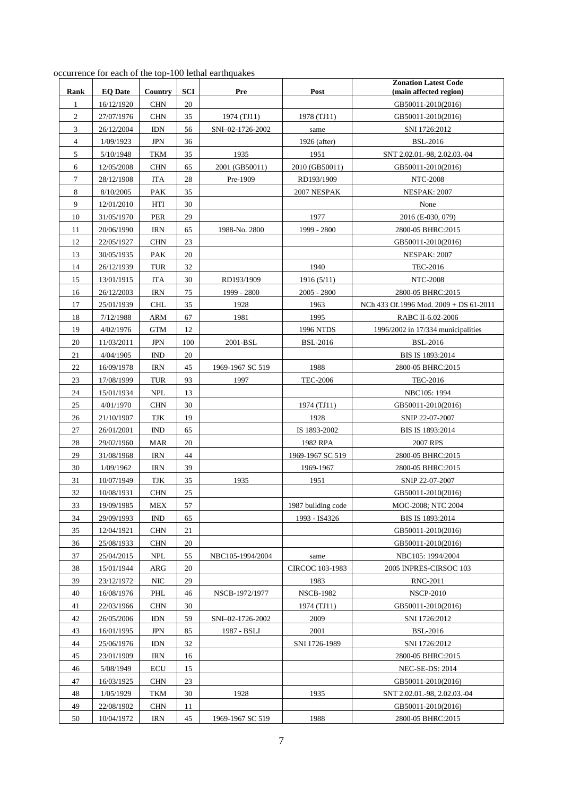| occurrence for each of the top-100 lethal earthquakes |  |
|-------------------------------------------------------|--|
|-------------------------------------------------------|--|

| Rank                | <b>EQ Date</b>           | Country                  | <b>SCI</b> | Pre              | Post               | <b>Zonation Latest Code</b><br>(main affected region) |
|---------------------|--------------------------|--------------------------|------------|------------------|--------------------|-------------------------------------------------------|
|                     |                          |                          | 20         |                  |                    |                                                       |
| 1<br>$\mathfrak{2}$ | 16/12/1920<br>27/07/1976 | <b>CHN</b><br><b>CHN</b> | 35         | 1974 (TJ11)      | 1978 (TJ11)        | GB50011-2010(2016)<br>GB50011-2010(2016)              |
| 3                   |                          |                          |            | SNI-02-1726-2002 |                    |                                                       |
|                     | 26/12/2004               | <b>IDN</b>               | 56         |                  | same               | SNI 1726:2012                                         |
| 4                   | 1/09/1923                | JPN                      | 36         |                  | 1926 (after)       | <b>BSL-2016</b>                                       |
| 5                   | 5/10/1948                | TKM                      | 35         | 1935             | 1951               | SNT 2.02.01.-98, 2.02.03.-04                          |
| 6                   | 12/05/2008               | <b>CHN</b>               | 65         | 2001 (GB50011)   | 2010 (GB50011)     | GB50011-2010(2016)                                    |
| 7                   | 28/12/1908               | ITA                      | 28         | Pre-1909         | RD193/1909         | <b>NTC-2008</b>                                       |
| 8                   | 8/10/2005                | <b>PAK</b>               | 35         |                  | 2007 NESPAK        | <b>NESPAK: 2007</b>                                   |
| 9                   | 12/01/2010               | HTI                      | 30         |                  |                    | None                                                  |
| 10                  | 31/05/1970               | PER                      | 29         |                  | 1977               | 2016 (E-030, 079)                                     |
| 11                  | 20/06/1990               | <b>IRN</b>               | 65         | 1988-No. 2800    | 1999 - 2800        | 2800-05 BHRC:2015                                     |
| 12                  | 22/05/1927               | <b>CHN</b>               | 23         |                  |                    | GB50011-2010(2016)                                    |
| 13                  | 30/05/1935               | PAK                      | 20         |                  |                    | <b>NESPAK: 2007</b>                                   |
| 14                  | 26/12/1939               | <b>TUR</b>               | 32         |                  | 1940               | <b>TEC-2016</b>                                       |
| 15                  | 13/01/1915               | <b>ITA</b>               | 30         | RD193/1909       | 1916(5/11)         | <b>NTC-2008</b>                                       |
| 16                  | 26/12/2003               | <b>IRN</b>               | 75         | 1999 - 2800      | $2005 - 2800$      | 2800-05 BHRC:2015                                     |
| 17                  | 25/01/1939               | <b>CHL</b>               | 35         | 1928             | 1963               | NCh 433 Of.1996 Mod. 2009 + DS 61-2011                |
| 18                  | 7/12/1988                | ARM                      | 67         | 1981             | 1995               | RABC II-6.02-2006                                     |
| 19                  | 4/02/1976                | <b>GTM</b>               | 12         |                  | <b>1996 NTDS</b>   | 1996/2002 in 17/334 municipalities                    |
| 20                  | 11/03/2011               | <b>JPN</b>               | 100        | 2001-BSL         | <b>BSL-2016</b>    | <b>BSL-2016</b>                                       |
| 21                  | 4/04/1905                | <b>IND</b>               | 20         |                  |                    | BIS IS 1893:2014                                      |
| 22                  | 16/09/1978               | <b>IRN</b>               | 45         | 1969-1967 SC 519 | 1988               | 2800-05 BHRC:2015                                     |
| 23                  | 17/08/1999               | TUR                      | 93         | 1997             | <b>TEC-2006</b>    | <b>TEC-2016</b>                                       |
| 24                  | 15/01/1934               | <b>NPL</b>               | 13         |                  |                    | NBC105: 1994                                          |
| 25                  | 4/01/1970                | <b>CHN</b>               | 30         |                  | 1974 (TJ11)        | GB50011-2010(2016)                                    |
| 26                  | 21/10/1907               | TJK                      | 19         |                  | 1928               | SNIP 22-07-2007                                       |
| 27                  | 26/01/2001               | <b>IND</b>               | 65         |                  | IS 1893-2002       | BIS IS 1893:2014                                      |
| 28                  | 29/02/1960               | <b>MAR</b>               | 20         |                  | 1982 RPA           | 2007 RPS                                              |
| 29                  | 31/08/1968               | <b>IRN</b>               | 44         |                  | 1969-1967 SC 519   | 2800-05 BHRC:2015                                     |
| 30                  | 1/09/1962                | <b>IRN</b>               | 39         |                  | 1969-1967          | 2800-05 BHRC:2015                                     |
| 31                  | 10/07/1949               | TJK                      | 35         | 1935             | 1951               | SNIP 22-07-2007                                       |
| 32                  | 10/08/1931               | <b>CHN</b>               | 25         |                  |                    | GB50011-2010(2016)                                    |
| 33                  | 19/09/1985               | <b>MEX</b>               | 57         |                  | 1987 building code | MOC-2008; NTC 2004                                    |
| 34                  | 29/09/1993               | <b>IND</b>               | 65         |                  | 1993 - IS4326      | BIS IS 1893:2014                                      |
| 35                  | 12/04/1921               | <b>CHN</b>               | 21         |                  |                    | GB50011-2010(2016)                                    |
| 36                  | 25/08/1933               | <b>CHN</b>               | 20         |                  |                    | GB50011-2010(2016)                                    |
| 37                  | 25/04/2015               | <b>NPL</b>               | 55         | NBC105-1994/2004 | same               | NBC105: 1994/2004                                     |
| 38                  | 15/01/1944               | ARG                      | 20         |                  | CIRCOC 103-1983    | 2005 INPRES-CIRSOC 103                                |
| 39                  | 23/12/1972               | $\rm NIC$                | 29         |                  | 1983               | <b>RNC-2011</b>                                       |
| 40                  | 16/08/1976               | PHL                      | 46         | NSCB-1972/1977   | <b>NSCB-1982</b>   | <b>NSCP-2010</b>                                      |
| 41                  | 22/03/1966               | <b>CHN</b>               | 30         |                  | 1974 (TJ11)        | GB50011-2010(2016)                                    |
| 42                  | 26/05/2006               | <b>IDN</b>               | 59         | SNI-02-1726-2002 | 2009               | SNI 1726:2012                                         |
| 43                  | 16/01/1995               | JPN                      | 85         | 1987 - BSLJ      | 2001               | <b>BSL-2016</b>                                       |
| 44                  | 25/06/1976               | <b>IDN</b>               | 32         |                  | SNI 1726-1989      | SNI 1726:2012                                         |
| 45                  | 23/01/1909               | <b>IRN</b>               | 16         |                  |                    | 2800-05 BHRC:2015                                     |
| 46                  | 5/08/1949                | ECU                      | 15         |                  |                    | <b>NEC-SE-DS: 2014</b>                                |
| 47                  | 16/03/1925               | <b>CHN</b>               | 23         |                  |                    | GB50011-2010(2016)                                    |
| 48                  | 1/05/1929                | TKM                      | 30         | 1928             | 1935               | SNT 2.02.01.-98, 2.02.03.-04                          |
| 49                  | 22/08/1902               | <b>CHN</b>               | 11         |                  |                    | GB50011-2010(2016)                                    |
| 50                  | 10/04/1972               | <b>IRN</b>               | 45         | 1969-1967 SC 519 | 1988               | 2800-05 BHRC:2015                                     |
|                     |                          |                          |            |                  |                    |                                                       |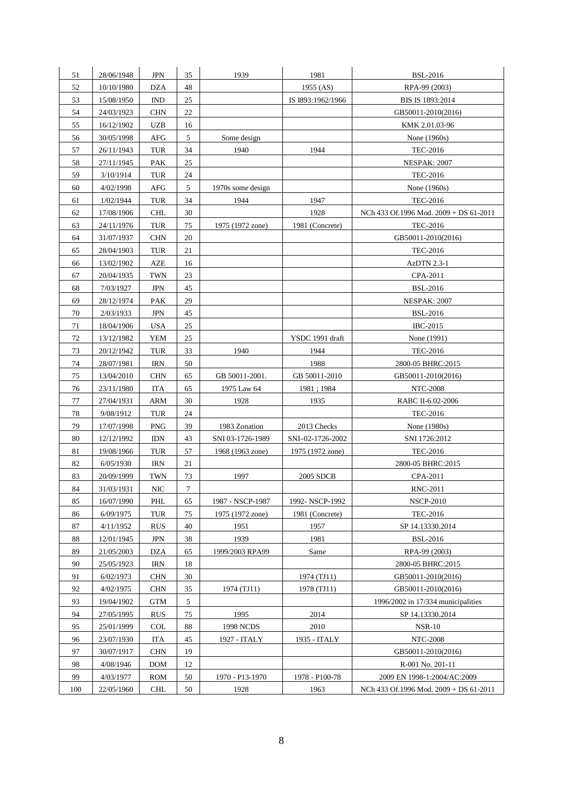| 51  | 28/06/1948 | JPN        | 35     | 1939              | 1981              | <b>BSL-2016</b>                        |
|-----|------------|------------|--------|-------------------|-------------------|----------------------------------------|
| 52  | 10/10/1980 | <b>DZA</b> | 48     |                   | 1955 (AS)         | RPA-99 (2003)                          |
| 53  | 15/08/1950 | <b>IND</b> | 25     |                   | IS I893:1962/1966 | BIS IS 1893:2014                       |
| 54  | 24/03/1923 | <b>CHN</b> | 22     |                   |                   | GB50011-2010(2016)                     |
| 55  | 16/12/1902 | UZB        | 16     |                   |                   | KMK 2.01.03-96                         |
| 56  | 30/05/1998 | AFG        | 5      | Some design       |                   | None (1960s)                           |
| 57  | 26/11/1943 | TUR        | 34     | 1940              | 1944              | <b>TEC-2016</b>                        |
| 58  | 27/11/1945 | <b>PAK</b> | $25\,$ |                   |                   | <b>NESPAK: 2007</b>                    |
| 59  | 3/10/1914  | TUR        | 24     |                   |                   | <b>TEC-2016</b>                        |
| 60  | 4/02/1998  | AFG        | 5      | 1970s some design |                   | None (1960s)                           |
| 61  | 1/02/1944  | TUR        | 34     | 1944              | 1947              | <b>TEC-2016</b>                        |
| 62  | 17/08/1906 | <b>CHL</b> | 30     |                   | 1928              | NCh 433 Of.1996 Mod. 2009 + DS 61-2011 |
| 63  | 24/11/1976 | TUR        | 75     | 1975 (1972 zone)  | 1981 (Concrete)   | <b>TEC-2016</b>                        |
| 64  | 31/07/1937 | <b>CHN</b> | 20     |                   |                   | GB50011-2010(2016)                     |
| 65  | 28/04/1903 | TUR        | 21     |                   |                   | <b>TEC-2016</b>                        |
| 66  | 13/02/1902 | AZE        | 16     |                   |                   | <b>AzDTN 2.3-1</b>                     |
| 67  | 20/04/1935 | TWN        | 23     |                   |                   | CPA-2011                               |
| 68  | 7/03/1927  | JPN        | 45     |                   |                   | <b>BSL-2016</b>                        |
| 69  | 28/12/1974 | PAK        | 29     |                   |                   | <b>NESPAK: 2007</b>                    |
| 70  | 2/03/1933  | <b>JPN</b> | 45     |                   |                   | <b>BSL-2016</b>                        |
| 71  | 18/04/1906 | USA        | 25     |                   |                   | <b>IBC-2015</b>                        |
| 72  | 13/12/1982 | <b>YEM</b> | 25     |                   | YSDC 1991 draft   | None (1991)                            |
| 73  | 20/12/1942 | TUR        | 33     | 1940              | 1944              | <b>TEC-2016</b>                        |
| 74  | 28/07/1981 | <b>IRN</b> | 50     |                   | 1988              | 2800-05 BHRC:2015                      |
| 75  |            |            |        | GB 50011-2001.    | GB 50011-2010     |                                        |
|     | 13/04/2010 | <b>CHN</b> | 65     |                   |                   | GB50011-2010(2016)                     |
| 76  | 23/11/1980 | <b>ITA</b> | 65     | 1975 Law 64       | 1981; 1984        | <b>NTC-2008</b>                        |
| 77  | 27/04/1931 | ARM        | 30     | 1928              | 1935              | RABC II-6.02-2006                      |
| 78  | 9/08/1912  | TUR        | 24     |                   |                   | <b>TEC-2016</b>                        |
| 79  | 17/07/1998 | <b>PNG</b> | 39     | 1983 Zonation     | 2013 Checks       | None (1980s)                           |
| 80  | 12/12/1992 | <b>IDN</b> | 43     | SNI 03-1726-1989  | SNI-02-1726-2002  | SNI 1726:2012                          |
| 81  | 19/08/1966 | TUR        | 57     | 1968 (1963 zone)  | 1975 (1972 zone)  | <b>TEC-2016</b>                        |
| 82  | 6/05/1930  | IRN        | 21     |                   |                   | 2800-05 BHRC:2015                      |
| 83  | 20/09/1999 | TWN        | 73     | 1997              | 2005 SDCB         | CPA-2011                               |
| 84  | 31/03/1931 | NIC        | $\tau$ |                   |                   | <b>RNC-2011</b>                        |
| 85  | 16/07/1990 | PHL        | 65     | 1987 - NSCP-1987  | 1992-NSCP-1992    | <b>NSCP-2010</b>                       |
| 86  | 6/09/1975  | TUR        | 75     | 1975 (1972 zone)  | 1981 (Concrete)   | <b>TEC-2016</b>                        |
| 87  | 4/11/1952  | <b>RUS</b> | 40     | 1951              | 1957              | SP 14.13330.2014                       |
| 88  | 12/01/1945 | <b>JPN</b> | 38     | 1939              | 1981              | <b>BSL-2016</b>                        |
| 89  | 21/05/2003 | <b>DZA</b> | 65     | 1999/2003 RPA99   | Same              | RPA-99 (2003)                          |
| 90  | 25/05/1923 | <b>IRN</b> | 18     |                   |                   | 2800-05 BHRC:2015                      |
| 91  | 6/02/1973  | <b>CHN</b> | 30     |                   | 1974 (TJ11)       | GB50011-2010(2016)                     |
| 92  | 4/02/1975  | <b>CHN</b> | 35     | 1974 (TJ11)       | 1978 (TJ11)       | GB50011-2010(2016)                     |
| 93  | 19/04/1902 | <b>GTM</b> | 5      |                   |                   | 1996/2002 in 17/334 municipalities     |
| 94  | 27/05/1995 | <b>RUS</b> | 75     | 1995              | 2014              | SP 14.13330.2014                       |
| 95  | 25/01/1999 | COL        | 88     | <b>1998 NCDS</b>  | 2010              | <b>NSR-10</b>                          |
| 96  | 23/07/1930 | <b>ITA</b> | 45     | 1927 - ITALY      | 1935 - ITALY      | <b>NTC-2008</b>                        |
| 97  | 30/07/1917 | <b>CHN</b> | 19     |                   |                   | GB50011-2010(2016)                     |
| 98  | 4/08/1946  | <b>DOM</b> | 12     |                   |                   | R-001 No. 201-11                       |
| 99  | 4/03/1977  | ROM        | 50     | 1970 - P13-1970   | 1978 - P100-78    | 2009 EN 1998-1:2004/AC:2009            |
| 100 | 22/05/1960 | CHL        | 50     | 1928              | 1963              | NCh 433 Of.1996 Mod. 2009 + DS 61-2011 |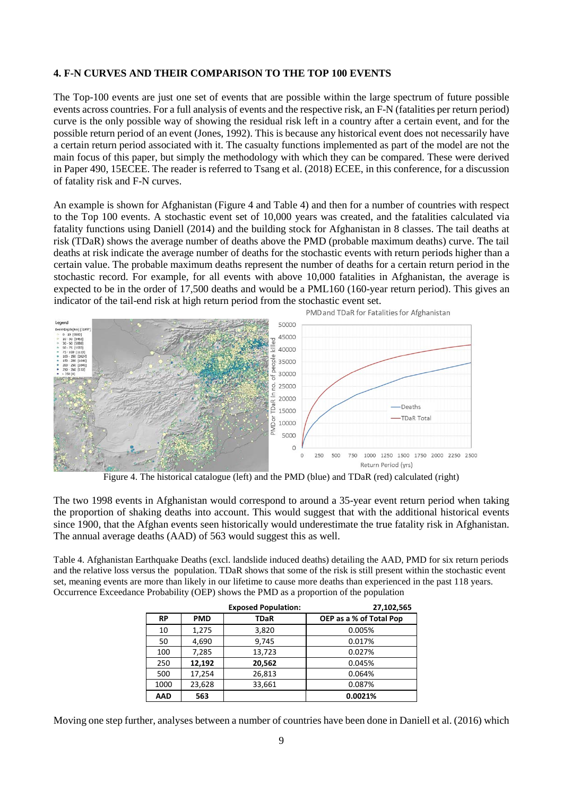### **4. F-N CURVES AND THEIR COMPARISON TO THE TOP 100 EVENTS**

The Top-100 events are just one set of events that are possible within the large spectrum of future possible events across countries. For a full analysis of events and the respective risk, an F-N (fatalities per return period) curve is the only possible way of showing the residual risk left in a country after a certain event, and for the possible return period of an event (Jones, 1992). This is because any historical event does not necessarily have a certain return period associated with it. The casualty functions implemented as part of the model are not the main focus of this paper, but simply the methodology with which they can be compared. These were derived in Paper 490, 15ECEE. The reader is referred to Tsang et al. (2018) ECEE, in this conference, for a discussion of fatality risk and F-N curves.

An example is shown for Afghanistan (Figure 4 and Table 4) and then for a number of countries with respect to the Top 100 events. A stochastic event set of 10,000 years was created, and the fatalities calculated via fatality functions using Daniell (2014) and the building stock for Afghanistan in 8 classes. The tail deaths at risk (TDaR) shows the average number of deaths above the PMD (probable maximum deaths) curve. The tail deaths at risk indicate the average number of deaths for the stochastic events with return periods higher than a certain value. The probable maximum deaths represent the number of deaths for a certain return period in the stochastic record. For example, for all events with above 10,000 fatalities in Afghanistan, the average is expected to be in the order of 17,500 deaths and would be a PML160 (160-year return period). This gives an indicator of the tail-end risk at high return period from the stochastic event set.



Figure 4. The historical catalogue (left) and the PMD (blue) and TDaR (red) calculated (right)

The two 1998 events in Afghanistan would correspond to around a 35-year event return period when taking the proportion of shaking deaths into account. This would suggest that with the additional historical events since 1900, that the Afghan events seen historically would underestimate the true fatality risk in Afghanistan. The annual average deaths (AAD) of 563 would suggest this as well.

Table 4. Afghanistan Earthquake Deaths (excl. landslide induced deaths) detailing the AAD, PMD for six return periods and the relative loss versus the population. TDaR shows that some of the risk is still present within the stochastic event set, meaning events are more than likely in our lifetime to cause more deaths than experienced in the past 118 years. Occurrence Exceedance Probability (OEP) shows the PMD as a proportion of the population

|            |            | <b>Exposed Population:</b> | 27,102,565              |
|------------|------------|----------------------------|-------------------------|
| <b>RP</b>  | <b>PMD</b> | <b>TDaR</b>                | OEP as a % of Total Pop |
| 10         | 1,275      | 3,820                      | 0.005%                  |
| 50         | 4,690      | 9,745                      | 0.017%                  |
| 100        | 7,285      | 13,723                     | 0.027%                  |
| 250        | 12,192     | 20,562                     | 0.045%                  |
| 500        | 17,254     | 26,813                     | 0.064%                  |
| 1000       | 23,628     | 33,661                     | 0.087%                  |
| <b>AAD</b> | 563        |                            | 0.0021%                 |

Moving one step further, analyses between a number of countries have been done in Daniell et al. (2016) which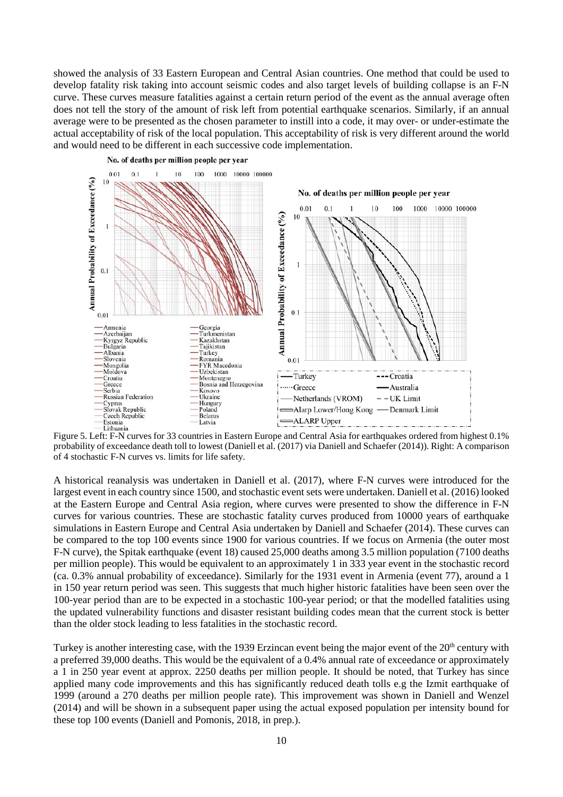showed the analysis of 33 Eastern European and Central Asian countries. One method that could be used to develop fatality risk taking into account seismic codes and also target levels of building collapse is an F-N curve. These curves measure fatalities against a certain return period of the event as the annual average often does not tell the story of the amount of risk left from potential earthquake scenarios. Similarly, if an annual average were to be presented as the chosen parameter to instill into a code, it may over- or under-estimate the actual acceptability of risk of the local population. This acceptability of risk is very different around the world and would need to be different in each successive code implementation.



probability of exceedance death toll to lowest (Daniell et al. (2017) via Daniell and Schaefer (2014)). Right: A comparison of 4 stochastic F-N curves vs. limits for life safety.

A historical reanalysis was undertaken in Daniell et al. (2017), where F-N curves were introduced for the largest event in each country since 1500, and stochastic event sets were undertaken. Daniell et al. (2016) looked at the Eastern Europe and Central Asia region, where curves were presented to show the difference in F-N curves for various countries. These are stochastic fatality curves produced from 10000 years of earthquake simulations in Eastern Europe and Central Asia undertaken by Daniell and Schaefer (2014). These curves can be compared to the top 100 events since 1900 for various countries. If we focus on Armenia (the outer most F-N curve), the Spitak earthquake (event 18) caused 25,000 deaths among 3.5 million population (7100 deaths per million people). This would be equivalent to an approximately 1 in 333 year event in the stochastic record (ca. 0.3% annual probability of exceedance). Similarly for the 1931 event in Armenia (event 77), around a 1 in 150 year return period was seen. This suggests that much higher historic fatalities have been seen over the 100-year period than are to be expected in a stochastic 100-year period; or that the modelled fatalities using the updated vulnerability functions and disaster resistant building codes mean that the current stock is better than the older stock leading to less fatalities in the stochastic record.

Turkey is another interesting case, with the 1939 Erzincan event being the major event of the 20<sup>th</sup> century with a preferred 39,000 deaths. This would be the equivalent of a 0.4% annual rate of exceedance or approximately a 1 in 250 year event at approx. 2250 deaths per million people. It should be noted, that Turkey has since applied many code improvements and this has significantly reduced death tolls e.g the Izmit earthquake of 1999 (around a 270 deaths per million people rate). This improvement was shown in Daniell and Wenzel (2014) and will be shown in a subsequent paper using the actual exposed population per intensity bound for these top 100 events (Daniell and Pomonis, 2018, in prep.).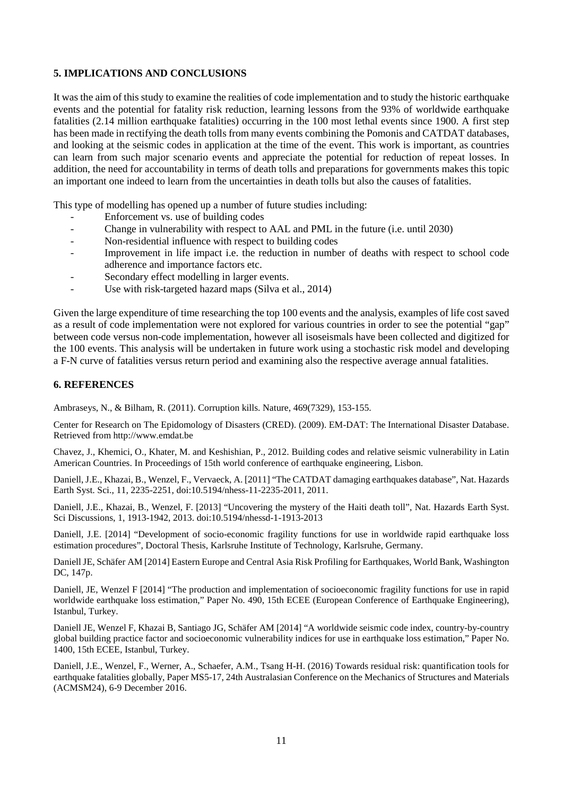## **5. IMPLICATIONS AND CONCLUSIONS**

It was the aim of this study to examine the realities of code implementation and to study the historic earthquake events and the potential for fatality risk reduction, learning lessons from the 93% of worldwide earthquake fatalities (2.14 million earthquake fatalities) occurring in the 100 most lethal events since 1900. A first step has been made in rectifying the death tolls from many events combining the Pomonis and CATDAT databases, and looking at the seismic codes in application at the time of the event. This work is important, as countries can learn from such major scenario events and appreciate the potential for reduction of repeat losses. In addition, the need for accountability in terms of death tolls and preparations for governments makes this topic an important one indeed to learn from the uncertainties in death tolls but also the causes of fatalities.

This type of modelling has opened up a number of future studies including:

- Enforcement vs. use of building codes
- Change in vulnerability with respect to AAL and PML in the future (i.e. until 2030)
- Non-residential influence with respect to building codes
- Improvement in life impact i.e. the reduction in number of deaths with respect to school code adherence and importance factors etc.
- Secondary effect modelling in larger events.
- Use with risk-targeted hazard maps (Silva et al., 2014)

Given the large expenditure of time researching the top 100 events and the analysis, examples of life cost saved as a result of code implementation were not explored for various countries in order to see the potential "gap" between code versus non-code implementation, however all isoseismals have been collected and digitized for the 100 events. This analysis will be undertaken in future work using a stochastic risk model and developing a F-N curve of fatalities versus return period and examining also the respective average annual fatalities.

#### **6. REFERENCES**

Ambraseys, N., & Bilham, R. (2011). Corruption kills. Nature, 469(7329), 153-155.

Center for Research on The Epidomology of Disasters (CRED). (2009). EM-DAT: The International Disaster Database. Retrieved from http://www.emdat.be

Chavez, J., Khemici, O., Khater, M. and Keshishian, P., 2012. Building codes and relative seismic vulnerability in Latin American Countries. In Proceedings of 15th world conference of earthquake engineering, Lisbon.

Daniell, J.E., Khazai, B., Wenzel, F., Vervaeck, A. [2011] "The CATDAT damaging earthquakes database", Nat. Hazards Earth Syst. Sci., 11, 2235-2251, doi:10.5194/nhess-11-2235-2011, 2011.

Daniell, J.E., Khazai, B., Wenzel, F. [2013] "Uncovering the mystery of the Haiti death toll", Nat. Hazards Earth Syst. Sci Discussions, 1, 1913-1942, 2013. doi:10.5194/nhessd-1-1913-2013

Daniell, J.E. [2014] "Development of socio-economic fragility functions for use in worldwide rapid earthquake loss estimation procedures", Doctoral Thesis, Karlsruhe Institute of Technology, Karlsruhe, Germany.

Daniell JE, Schäfer AM [2014] Eastern Europe and Central Asia Risk Profiling for Earthquakes, World Bank, Washington DC, 147p.

Daniell, JE, Wenzel F [2014] "The production and implementation of socioeconomic fragility functions for use in rapid worldwide earthquake loss estimation," Paper No. 490, 15th ECEE (European Conference of Earthquake Engineering), Istanbul, Turkey.

Daniell JE, Wenzel F, Khazai B, Santiago JG, Schäfer AM [2014] "A worldwide seismic code index, country-by-country global building practice factor and socioeconomic vulnerability indices for use in earthquake loss estimation," Paper No. 1400, 15th ECEE, Istanbul, Turkey.

Daniell, J.E., Wenzel, F., Werner, A., Schaefer, A.M., Tsang H-H. (2016) Towards residual risk: quantification tools for earthquake fatalities globally, Paper MS5-17, 24th Australasian Conference on the Mechanics of Structures and Materials (ACMSM24), 6-9 December 2016.